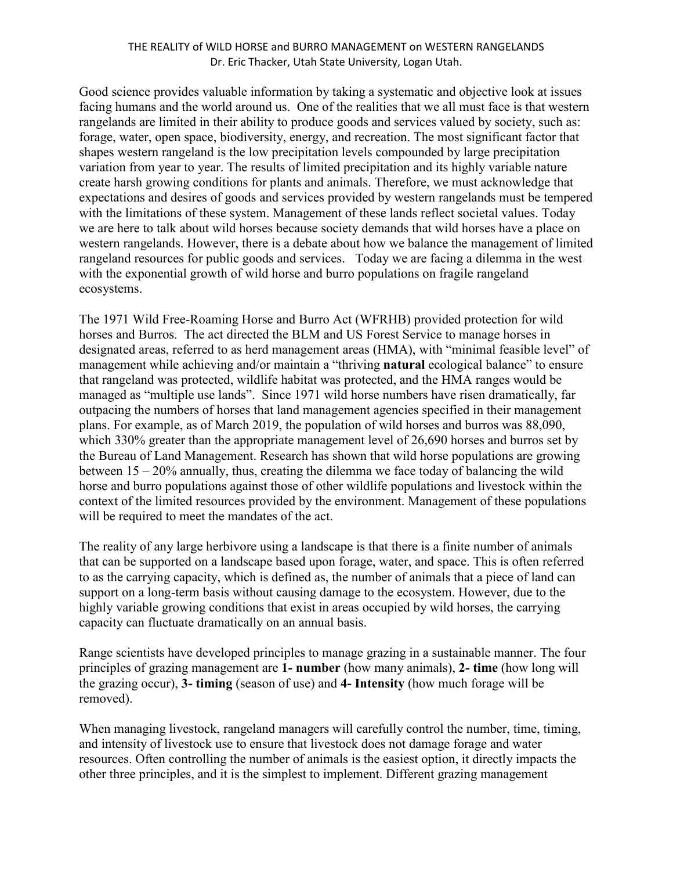## THE REALITY of WILD HORSE and BURRO MANAGEMENT on WESTERN RANGELANDS Dr. Eric Thacker, Utah State University, Logan Utah.

Good science provides valuable information by taking a systematic and objective look at issues facing humans and the world around us. One of the realities that we all must face is that western rangelands are limited in their ability to produce goods and services valued by society, such as: forage, water, open space, biodiversity, energy, and recreation. The most significant factor that shapes western rangeland is the low precipitation levels compounded by large precipitation variation from year to year. The results of limited precipitation and its highly variable nature create harsh growing conditions for plants and animals. Therefore, we must acknowledge that expectations and desires of goods and services provided by western rangelands must be tempered with the limitations of these system. Management of these lands reflect societal values. Today we are here to talk about wild horses because society demands that wild horses have a place on western rangelands. However, there is a debate about how we balance the management of limited rangeland resources for public goods and services. Today we are facing a dilemma in the west with the exponential growth of wild horse and burro populations on fragile rangeland ecosystems.

The 1971 Wild Free-Roaming Horse and Burro Act (WFRHB) provided protection for wild horses and Burros. The act directed the BLM and US Forest Service to manage horses in designated areas, referred to as herd management areas (HMA), with "minimal feasible level" of management while achieving and/or maintain a "thriving **natural** ecological balance" to ensure that rangeland was protected, wildlife habitat was protected, and the HMA ranges would be managed as "multiple use lands". Since 1971 wild horse numbers have risen dramatically, far outpacing the numbers of horses that land management agencies specified in their management plans. For example, as of March 2019, the population of wild horses and burros was 88,090, which 330% greater than the appropriate management level of 26,690 horses and burros set by the Bureau of Land Management. Research has shown that wild horse populations are growing between 15 – 20% annually, thus, creating the dilemma we face today of balancing the wild horse and burro populations against those of other wildlife populations and livestock within the context of the limited resources provided by the environment. Management of these populations will be required to meet the mandates of the act.

The reality of any large herbivore using a landscape is that there is a finite number of animals that can be supported on a landscape based upon forage, water, and space. This is often referred to as the carrying capacity, which is defined as, the number of animals that a piece of land can support on a long-term basis without causing damage to the ecosystem. However, due to the highly variable growing conditions that exist in areas occupied by wild horses, the carrying capacity can fluctuate dramatically on an annual basis.

Range scientists have developed principles to manage grazing in a sustainable manner. The four principles of grazing management are **1- number** (how many animals), **2- time** (how long will the grazing occur), **3- timing** (season of use) and **4- Intensity** (how much forage will be removed).

When managing livestock, rangeland managers will carefully control the number, time, timing, and intensity of livestock use to ensure that livestock does not damage forage and water resources. Often controlling the number of animals is the easiest option, it directly impacts the other three principles, and it is the simplest to implement. Different grazing management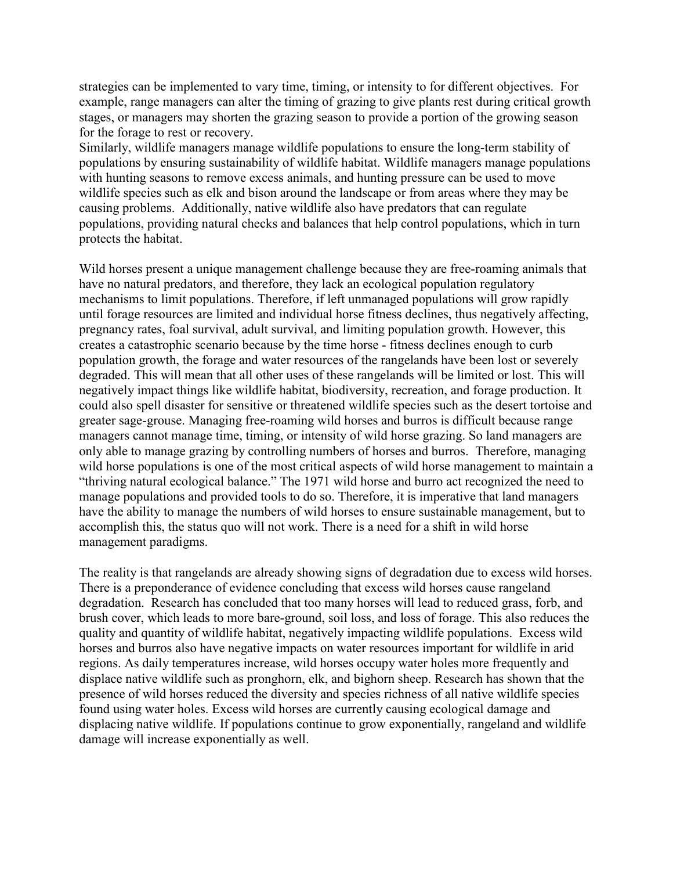strategies can be implemented to vary time, timing, or intensity to for different objectives. For example, range managers can alter the timing of grazing to give plants rest during critical growth stages, or managers may shorten the grazing season to provide a portion of the growing season for the forage to rest or recovery.

Similarly, wildlife managers manage wildlife populations to ensure the long-term stability of populations by ensuring sustainability of wildlife habitat. Wildlife managers manage populations with hunting seasons to remove excess animals, and hunting pressure can be used to move wildlife species such as elk and bison around the landscape or from areas where they may be causing problems. Additionally, native wildlife also have predators that can regulate populations, providing natural checks and balances that help control populations, which in turn protects the habitat.

Wild horses present a unique management challenge because they are free-roaming animals that have no natural predators, and therefore, they lack an ecological population regulatory mechanisms to limit populations. Therefore, if left unmanaged populations will grow rapidly until forage resources are limited and individual horse fitness declines, thus negatively affecting, pregnancy rates, foal survival, adult survival, and limiting population growth. However, this creates a catastrophic scenario because by the time horse - fitness declines enough to curb population growth, the forage and water resources of the rangelands have been lost or severely degraded. This will mean that all other uses of these rangelands will be limited or lost. This will negatively impact things like wildlife habitat, biodiversity, recreation, and forage production. It could also spell disaster for sensitive or threatened wildlife species such as the desert tortoise and greater sage-grouse. Managing free-roaming wild horses and burros is difficult because range managers cannot manage time, timing, or intensity of wild horse grazing. So land managers are only able to manage grazing by controlling numbers of horses and burros. Therefore, managing wild horse populations is one of the most critical aspects of wild horse management to maintain a "thriving natural ecological balance." The 1971 wild horse and burro act recognized the need to manage populations and provided tools to do so. Therefore, it is imperative that land managers have the ability to manage the numbers of wild horses to ensure sustainable management, but to accomplish this, the status quo will not work. There is a need for a shift in wild horse management paradigms.

The reality is that rangelands are already showing signs of degradation due to excess wild horses. There is a preponderance of evidence concluding that excess wild horses cause rangeland degradation. Research has concluded that too many horses will lead to reduced grass, forb, and brush cover, which leads to more bare-ground, soil loss, and loss of forage. This also reduces the quality and quantity of wildlife habitat, negatively impacting wildlife populations. Excess wild horses and burros also have negative impacts on water resources important for wildlife in arid regions. As daily temperatures increase, wild horses occupy water holes more frequently and displace native wildlife such as pronghorn, elk, and bighorn sheep. Research has shown that the presence of wild horses reduced the diversity and species richness of all native wildlife species found using water holes. Excess wild horses are currently causing ecological damage and displacing native wildlife. If populations continue to grow exponentially, rangeland and wildlife damage will increase exponentially as well.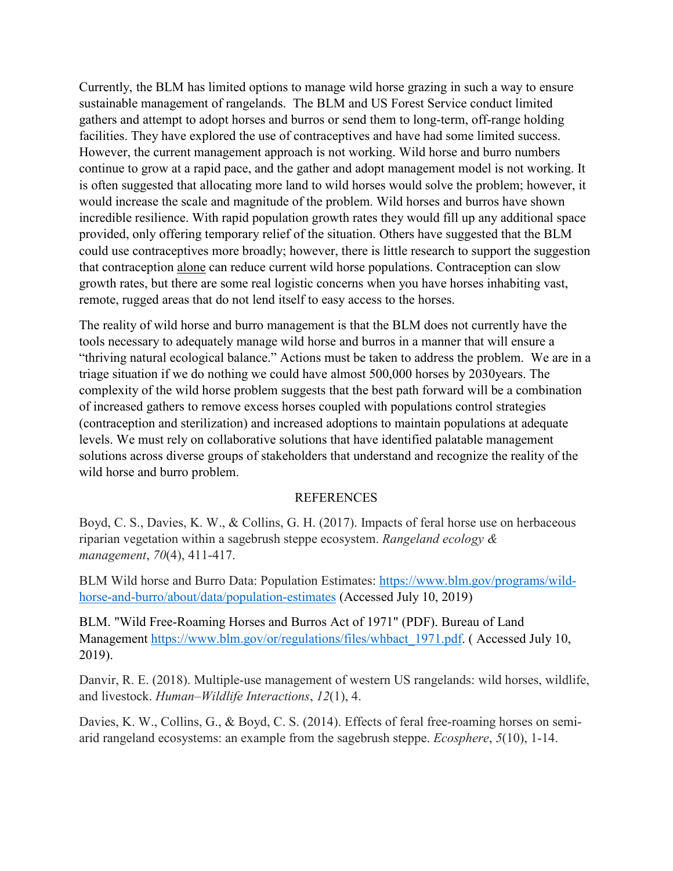Currently, the BLM has limited options to manage wild horse grazing in such a way to ensure sustainable management of rangelands. The BLM and US Forest Service conduct limited gathers and attempt to adopt horses and burros or send them to long-term, off-range holding facilities. They have explored the use of contraceptives and have had some limited success. However, the current management approach is not working. Wild horse and burro numbers continue to grow at a rapid pace, and the gather and adopt management model is not working. It is often suggested that allocating more land to wild horses would solve the problem; however, it would increase the scale and magnitude of the problem. Wild horses and burros have shown incredible resilience. With rapid population growth rates they would fill up any additional space provided, only offering temporary relief of the situation. Others have suggested that the BLM could use contraceptives more broadly; however, there is little research to support the suggestion that contraception alone can reduce current wild horse populations. Contraception can slow growth rates, but there are some real logistic concerns when you have horses inhabiting vast, remote, rugged areas that do not lend itself to easy access to the horses.

The reality of wild horse and burro management is that the BLM does not currently have the tools necessary to adequately manage wild horse and burros in a manner that will ensure a "thriving natural ecological balance." Actions must be taken to address the problem. We are in a triage situation if we do nothing we could have almost 500,000 horses by 2030years. The complexity of the wild horse problem suggests that the best path forward will be a combination of increased gathers to remove excess horses coupled with populations control strategies (contraception and sterilization) and increased adoptions to maintain populations at adequate levels. We must rely on collaborative solutions that have identified palatable management solutions across diverse groups of stakeholders that understand and recognize the reality of the wild horse and burro problem.

## **REFERENCES**

Boyd, C. S., Davies, K. W., & Collins, G. H. (2017). Impacts of feral horse use on herbaceous riparian vegetation within a sagebrush steppe ecosystem. *Rangeland ecology & management*, *70*(4), 411-417.

BLM Wild horse and Burro Data: Population Estimates: [https://www.blm.gov/programs/wild](https://www.blm.gov/programs/wild-horse-and-burro/about/data/population-estimates)[horse-and-burro/about/data/population-estimates](https://www.blm.gov/programs/wild-horse-and-burro/about/data/population-estimates) (Accessed July 10, 2019)

BLM. "Wild Free-Roaming Horses and Burros Act of 1971" (PDF). Bureau of Land Management [https://www.blm.gov/or/regulations/files/whbact\\_1971.pdf.](https://www.blm.gov/or/regulations/files/whbact_1971.pdf) (Accessed July 10, 2019).

Danvir, R. E. (2018). Multiple-use management of western US rangelands: wild horses, wildlife, and livestock. *Human–Wildlife Interactions*, *12*(1), 4.

Davies, K. W., Collins, G., & Boyd, C. S. (2014). Effects of feral free-roaming horses on semiarid rangeland ecosystems: an example from the sagebrush steppe. *Ecosphere*, *5*(10), 1-14.